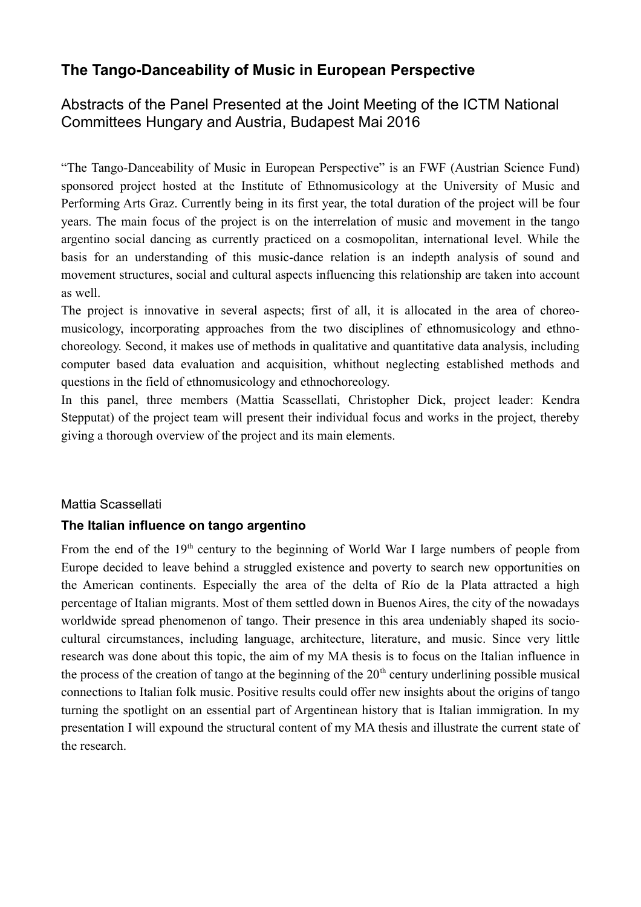# **The Tango-Danceability of Music in European Perspective**

Abstracts of the Panel Presented at the Joint Meeting of the ICTM National Committees Hungary and Austria, Budapest Mai 2016

"The Tango-Danceability of Music in European Perspective" is an FWF (Austrian Science Fund) sponsored project hosted at the Institute of Ethnomusicology at the University of Music and Performing Arts Graz. Currently being in its first year, the total duration of the project will be four years. The main focus of the project is on the interrelation of music and movement in the tango argentino social dancing as currently practiced on a cosmopolitan, international level. While the basis for an understanding of this music-dance relation is an indepth analysis of sound and movement structures, social and cultural aspects influencing this relationship are taken into account as well.

The project is innovative in several aspects; first of all, it is allocated in the area of choreomusicology, incorporating approaches from the two disciplines of ethnomusicology and ethnochoreology. Second, it makes use of methods in qualitative and quantitative data analysis, including computer based data evaluation and acquisition, whithout neglecting established methods and questions in the field of ethnomusicology and ethnochoreology.

In this panel, three members (Mattia Scassellati, Christopher Dick, project leader: Kendra Stepputat) of the project team will present their individual focus and works in the project, thereby giving a thorough overview of the project and its main elements.

### Mattia Scassellati

### **The Italian influence on tango argentino**

From the end of the 19<sup>th</sup> century to the beginning of World War I large numbers of people from Europe decided to leave behind a struggled existence and poverty to search new opportunities on the American continents. Especially the area of the delta of Río de la Plata attracted a high percentage of Italian migrants. Most of them settled down in Buenos Aires, the city of the nowadays worldwide spread phenomenon of tango. Their presence in this area undeniably shaped its sociocultural circumstances, including language, architecture, literature, and music. Since very little research was done about this topic, the aim of my MA thesis is to focus on the Italian influence in the process of the creation of tango at the beginning of the  $20<sup>th</sup>$  century underlining possible musical connections to Italian folk music. Positive results could offer new insights about the origins of tango turning the spotlight on an essential part of Argentinean history that is Italian immigration. In my presentation I will expound the structural content of my MA thesis and illustrate the current state of the research.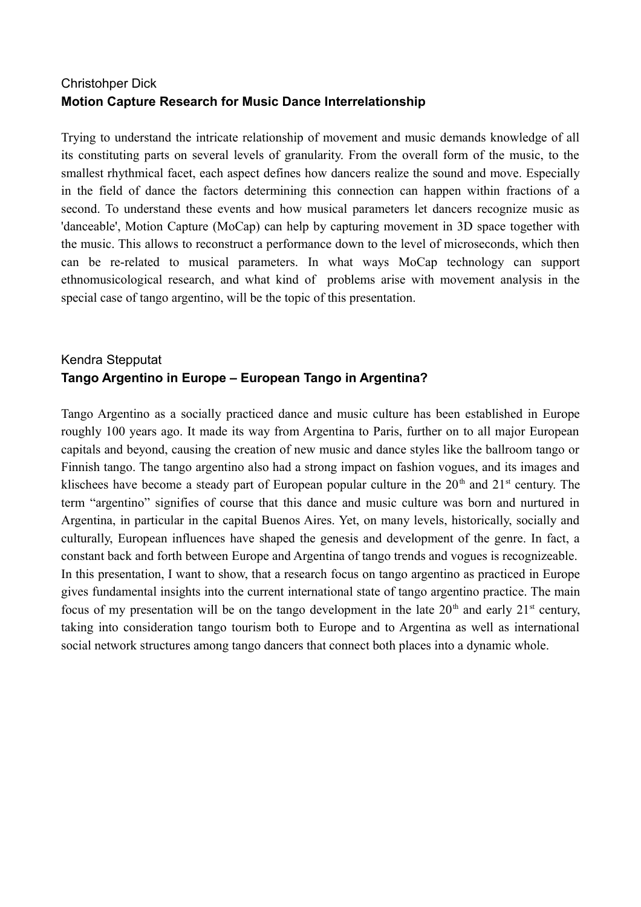### Christohper Dick **Motion Capture Research for Music Dance Interrelationship**

Trying to understand the intricate relationship of movement and music demands knowledge of all its constituting parts on several levels of granularity. From the overall form of the music, to the smallest rhythmical facet, each aspect defines how dancers realize the sound and move. Especially in the field of dance the factors determining this connection can happen within fractions of a second. To understand these events and how musical parameters let dancers recognize music as 'danceable', Motion Capture (MoCap) can help by capturing movement in 3D space together with the music. This allows to reconstruct a performance down to the level of microseconds, which then can be re-related to musical parameters. In what ways MoCap technology can support ethnomusicological research, and what kind of problems arise with movement analysis in the special case of tango argentino, will be the topic of this presentation.

## Kendra Stepputat **Tango Argentino in Europe – European Tango in Argentina?**

Tango Argentino as a socially practiced dance and music culture has been established in Europe roughly 100 years ago. It made its way from Argentina to Paris, further on to all major European capitals and beyond, causing the creation of new music and dance styles like the ballroom tango or Finnish tango. The tango argentino also had a strong impact on fashion vogues, and its images and klischees have become a steady part of European popular culture in the  $20<sup>th</sup>$  and  $21<sup>st</sup>$  century. The term "argentino" signifies of course that this dance and music culture was born and nurtured in Argentina, in particular in the capital Buenos Aires. Yet, on many levels, historically, socially and culturally, European influences have shaped the genesis and development of the genre. In fact, a constant back and forth between Europe and Argentina of tango trends and vogues is recognizeable. In this presentation, I want to show, that a research focus on tango argentino as practiced in Europe gives fundamental insights into the current international state of tango argentino practice. The main focus of my presentation will be on the tango development in the late  $20<sup>th</sup>$  and early  $21<sup>st</sup>$  century, taking into consideration tango tourism both to Europe and to Argentina as well as international social network structures among tango dancers that connect both places into a dynamic whole.